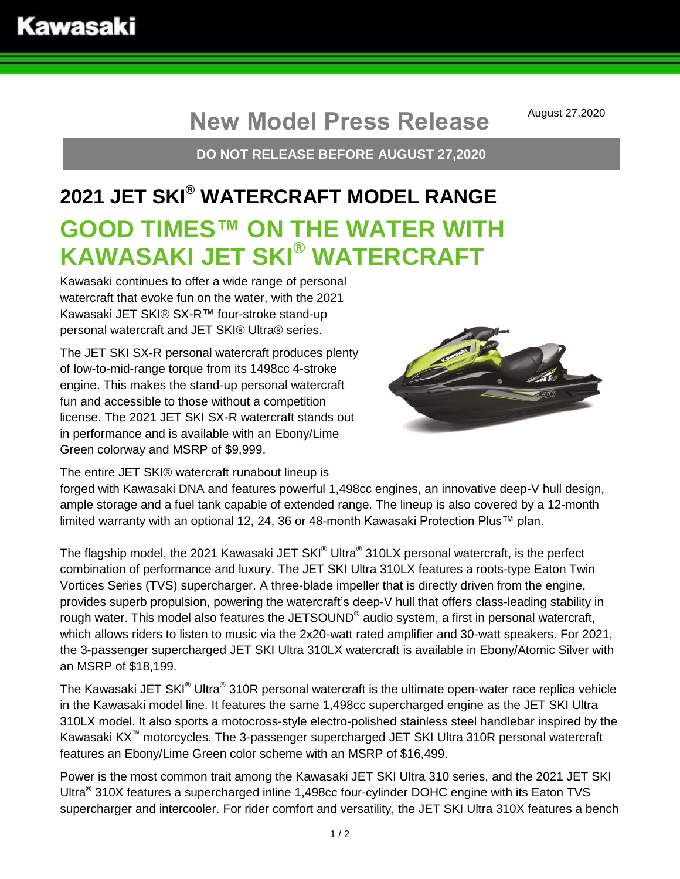## **New Model Press Release** August 27,2020

**DO NOT RELEASE BEFORE AUGUST 27,2020**

## **2021 JET SKI® WATERCRAFT MODEL RANGE GOOD TIMES™ ON THE WATER WITH KAWASAKI JET SKI® WATERCRAFT**

Kawasaki continues to offer a wide range of personal watercraft that evoke fun on the water, with the 2021 Kawasaki JET SKI® SX-R™ four-stroke stand-up personal watercraft and JET SKI® Ultra® series.

The JET SKI SX-R personal watercraft produces plenty of low-to-mid-range torque from its 1498cc 4-stroke engine. This makes the stand-up personal watercraft fun and accessible to those without a competition license. The 2021 JET SKI SX-R watercraft stands out in performance and is available with an Ebony/Lime Green colorway and MSRP of \$9,999.



The entire JET SKI® watercraft runabout lineup is

forged with Kawasaki DNA and features powerful 1,498cc engines, an innovative deep-V hull desian. ample storage and a fuel tank capable of extended range. The lineup is also covered by a 12-month limited warranty with an optional 12, 24, 36 or 48-month Kawasaki Protection Plus™ plan.

The flagship model, the 2021 Kawasaki JET SKI $^{\circ}$  Ultra $^{\circ}$  310LX personal watercraft, is the perfect combination of performance and luxury. The JET SKI Ultra 310LX features a roots-type Eaton Twin Vortices Series (TVS) supercharger. A three-blade impeller that is directly driven from the engine, provides superb propulsion, powering the watercraft's deep-V hull that offers class-leading stability in rough water. This model also features the JETSOUND<sup>®</sup> audio system, a first in personal watercraft, which allows riders to listen to music via the 2x20-watt rated amplifier and 30-watt speakers. For 2021, the 3-passenger supercharged JET SKI Ultra 310LX watercraft is available in Ebony/Atomic Silver with an MSRP of \$18,199.

The Kawasaki JET SKI® Ultra® 310R personal watercraft is the ultimate open-water race replica vehicle in the Kawasaki model line. It features the same 1,498cc supercharged engine as the JET SKI Ultra 310LX model. It also sports a motocross-style electro-polished stainless steel handlebar inspired by the Kawasaki KX™ motorcycles. The 3-passenger supercharged JET SKI Ultra 310R personal watercraft features an Ebony/Lime Green color scheme with an MSRP of \$16,499.

Power is the most common trait among the Kawasaki JET SKI Ultra 310 series, and the 2021 JET SKI Ultra $^{\circ}$  310X features a supercharged inline 1,498cc four-cylinder DOHC engine with its Eaton TVS supercharger and intercooler. For rider comfort and versatility, the JET SKI Ultra 310X features a bench